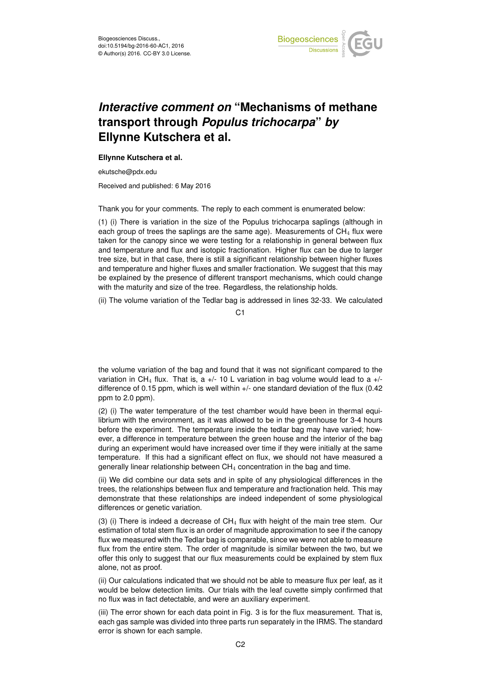

## *Interactive comment on* **"Mechanisms of methane transport through** *Populus trichocarpa***"** *by* **Ellynne Kutschera et al.**

## **Ellynne Kutschera et al.**

ekutsche@pdx.edu

Received and published: 6 May 2016

Thank you for your comments. The reply to each comment is enumerated below:

(1) (i) There is variation in the size of the Populus trichocarpa saplings (although in each group of trees the saplings are the same age). Measurements of  $CH<sub>4</sub>$  flux were taken for the canopy since we were testing for a relationship in general between flux and temperature and flux and isotopic fractionation. Higher flux can be due to larger tree size, but in that case, there is still a significant relationship between higher fluxes and temperature and higher fluxes and smaller fractionation. We suggest that this may be explained by the presence of different transport mechanisms, which could change with the maturity and size of the tree. Regardless, the relationship holds.

(ii) The volume variation of the Tedlar bag is addressed in lines 32-33. We calculated

C1

the volume variation of the bag and found that it was not significant compared to the variation in CH<sub>4</sub> flux. That is, a  $+/-$  10 L variation in bag volume would lead to a  $+/$ difference of 0.15 ppm, which is well within +/- one standard deviation of the flux (0.42 ppm to 2.0 ppm).

(2) (i) The water temperature of the test chamber would have been in thermal equilibrium with the environment, as it was allowed to be in the greenhouse for 3-4 hours before the experiment. The temperature inside the tedlar bag may have varied; however, a difference in temperature between the green house and the interior of the bag during an experiment would have increased over time if they were initially at the same temperature. If this had a significant effect on flux, we should not have measured a generally linear relationship between  $CH<sub>4</sub>$  concentration in the bag and time.

(ii) We did combine our data sets and in spite of any physiological differences in the trees, the relationships between flux and temperature and fractionation held. This may demonstrate that these relationships are indeed independent of some physiological differences or genetic variation.

(3) (i) There is indeed a decrease of  $CH_4$  flux with height of the main tree stem. Our estimation of total stem flux is an order of magnitude approximation to see if the canopy flux we measured with the Tedlar bag is comparable, since we were not able to measure flux from the entire stem. The order of magnitude is similar between the two, but we offer this only to suggest that our flux measurements could be explained by stem flux alone, not as proof.

(ii) Our calculations indicated that we should not be able to measure flux per leaf, as it would be below detection limits. Our trials with the leaf cuvette simply confirmed that no flux was in fact detectable, and were an auxiliary experiment.

(iii) The error shown for each data point in Fig. 3 is for the flux measurement. That is, each gas sample was divided into three parts run separately in the IRMS. The standard error is shown for each sample.